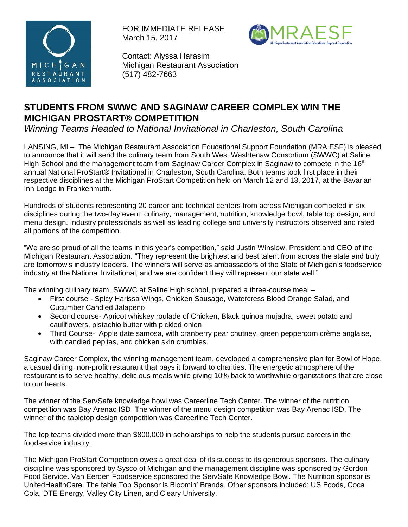

FOR IMMEDIATE RELEASE March 15, 2017



Contact: Alyssa Harasim Michigan Restaurant Association (517) 482-7663

## **STUDENTS FROM SWWC AND SAGINAW CAREER COMPLEX WIN THE MICHIGAN PROSTART® COMPETITION**

*Winning Teams Headed to National Invitational in Charleston, South Carolina*

LANSING, MI – The Michigan Restaurant Association Educational Support Foundation (MRA ESF) is pleased to announce that it will send the culinary team from South West Washtenaw Consortium (SWWC) at Saline High School and the management team from Saginaw Career Complex in Saginaw to compete in the 16<sup>th</sup> annual National ProStart® Invitational in Charleston, South Carolina. Both teams took first place in their respective disciplines at the Michigan ProStart Competition held on March 12 and 13, 2017, at the Bavarian Inn Lodge in Frankenmuth.

Hundreds of students representing 20 career and technical centers from across Michigan competed in six disciplines during the two-day event: culinary, management, nutrition, knowledge bowl, table top design, and menu design. Industry professionals as well as leading college and university instructors observed and rated all portions of the competition.

"We are so proud of all the teams in this year's competition," said Justin Winslow, President and CEO of the Michigan Restaurant Association. "They represent the brightest and best talent from across the state and truly are tomorrow's industry leaders. The winners will serve as ambassadors of the State of Michigan's foodservice industry at the National Invitational, and we are confident they will represent our state well."

The winning culinary team, SWWC at Saline High school, prepared a three-course meal –

- First course Spicy Harissa Wings, Chicken Sausage, Watercress Blood Orange Salad, and Cucumber Candied Jalapeno
- Second course- Apricot whiskey roulade of Chicken, Black quinoa mujadra, sweet potato and cauliflowers, pistachio butter with pickled onion
- Third Course- Apple date samosa, with cranberry pear chutney, green peppercorn crème anglaise, with candied pepitas, and chicken skin crumbles.

Saginaw Career Complex, the winning management team, developed a comprehensive plan for Bowl of Hope, a casual dining, non-profit restaurant that pays it forward to charities. The energetic atmosphere of the restaurant is to serve healthy, delicious meals while giving 10% back to worthwhile organizations that are close to our hearts.

The winner of the ServSafe knowledge bowl was Careerline Tech Center. The winner of the nutrition competition was Bay Arenac ISD. The winner of the menu design competition was Bay Arenac ISD. The winner of the tabletop design competition was Careerline Tech Center.

The top teams divided more than \$800,000 in scholarships to help the students pursue careers in the foodservice industry.

The Michigan ProStart Competition owes a great deal of its success to its generous sponsors. The culinary discipline was sponsored by Sysco of Michigan and the management discipline was sponsored by Gordon Food Service. Van Eerden Foodservice sponsored the ServSafe Knowledge Bowl. The Nutrition sponsor is UnitedHealthCare. The table Top Sponsor is Bloomin' Brands. Other sponsors included: US Foods, Coca Cola, DTE Energy, Valley City Linen, and Cleary University.